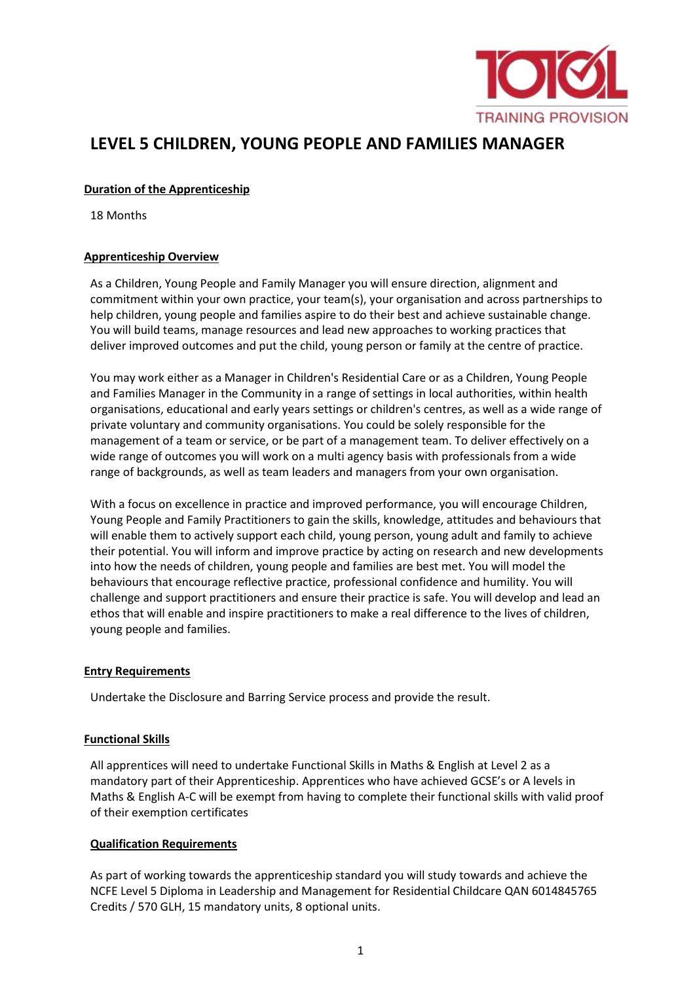

# **LEVEL 5 CHILDREN, YOUNG PEOPLE AND FAMILIES MANAGER**

#### **Duration of the Apprenticeship**

18 Months

#### **Apprenticeship Overview**

As a Children, Young People and Family Manager you will ensure direction, alignment and commitment within your own practice, your team(s), your organisation and across partnerships to help children, young people and families aspire to do their best and achieve sustainable change. You will build teams, manage resources and lead new approaches to working practices that deliver improved outcomes and put the child, young person or family at the centre of practice.

You may work either as a Manager in Children's Residential Care or as a Children, Young People and Families Manager in the Community in a range of settings in local authorities, within health organisations, educational and early years settings or children's centres, as well as a wide range of private voluntary and community organisations. You could be solely responsible for the management of a team or service, or be part of a management team. To deliver effectively on a wide range of outcomes you will work on a multi agency basis with professionals from a wide range of backgrounds, as well as team leaders and managers from your own organisation.

With a focus on excellence in practice and improved performance, you will encourage Children, Young People and Family Practitioners to gain the skills, knowledge, attitudes and behaviours that will enable them to actively support each child, young person, young adult and family to achieve their potential. You will inform and improve practice by acting on research and new developments into how the needs of children, young people and families are best met. You will model the behaviours that encourage reflective practice, professional confidence and humility. You will challenge and support practitioners and ensure their practice is safe. You will develop and lead an ethos that will enable and inspire practitioners to make a real difference to the lives of children, young people and families.

#### **Entry Requirements**

Undertake the Disclosure and Barring Service process and provide the result.

#### **Functional Skills**

All apprentices will need to undertake Functional Skills in Maths & English at Level 2 as a mandatory part of their Apprenticeship. Apprentices who have achieved GCSE's or A levels in Maths & English A-C will be exempt from having to complete their functional skills with valid proof of their exemption certificates

#### **Qualification Requirements**

As part of working towards the apprenticeship standard you will study towards and achieve the NCFE Level 5 Diploma in Leadership and Management for Residential Childcare QAN 6014845765 Credits / 570 GLH, 15 mandatory units, 8 optional units.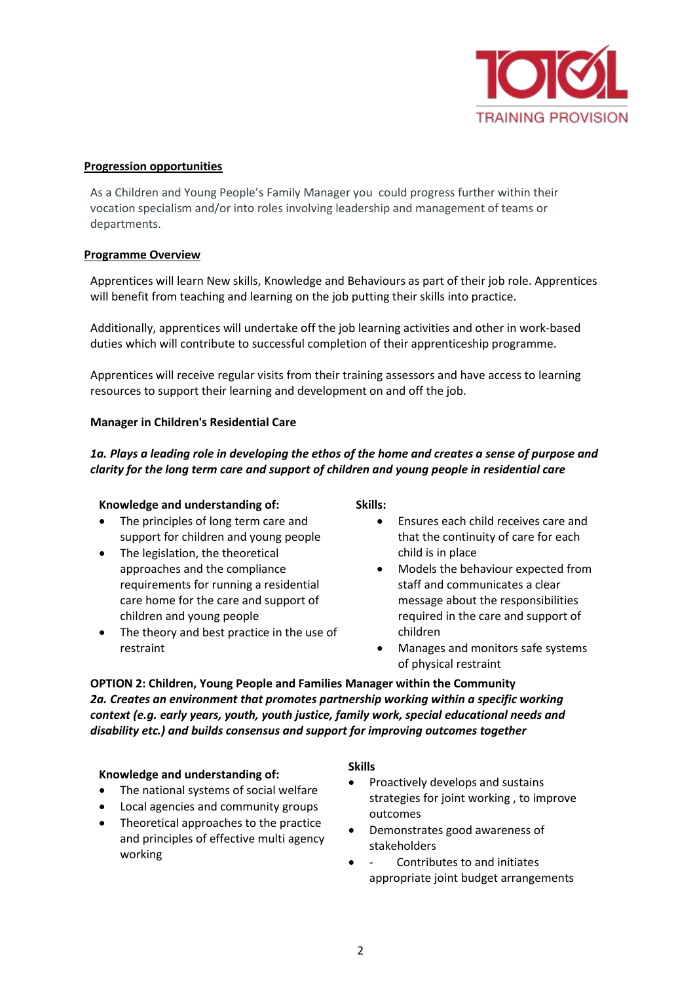

#### **Progression opportunities**

As a Children and Young People's Family Manager you could progress further within their vocation specialism and/or into roles involving leadership and management of teams or departments.

#### **Programme Overview**

Apprentices will learn New skills, Knowledge and Behaviours as part of their job role. Apprentices will benefit from teaching and learning on the job putting their skills into practice.

Additionally, apprentices will undertake off the job learning activities and other in work-based duties which will contribute to successful completion of their apprenticeship programme.

Apprentices will receive regular visits from their training assessors and have access to learning resources to support their learning and development on and off the job.

#### **Manager in Children's Residential Care**

*1a. Plays a leading role in developing the ethos of the home and creates a sense of purpose and clarity for the long term care and support of children and young people in residential care*

#### **Knowledge and understanding of:**

- The principles of long term care and support for children and young people
- The legislation, the theoretical approaches and the compliance requirements for running a residential care home for the care and support of children and young people
- The theory and best practice in the use of restraint

**Skills:**

- Ensures each child receives care and that the continuity of care for each child is in place
- Models the behaviour expected from staff and communicates a clear message about the responsibilities required in the care and support of children
- Manages and monitors safe systems of physical restraint

**OPTION 2: Children, Young People and Families Manager within the Community** *2a. Creates an environment that promotes partnership working within a specific working context (e.g. early years, youth, youth justice, family work, special educational needs and disability etc.) and builds consensus and support for improving outcomes together*

#### **Knowledge and understanding of:**

- The national systems of social welfare
- Local agencies and community groups
- Theoretical approaches to the practice and principles of effective multi agency working

#### **Skills**

- Proactively develops and sustains strategies for joint working , to improve outcomes
- Demonstrates good awareness of stakeholders
- Contributes to and initiates appropriate joint budget arrangements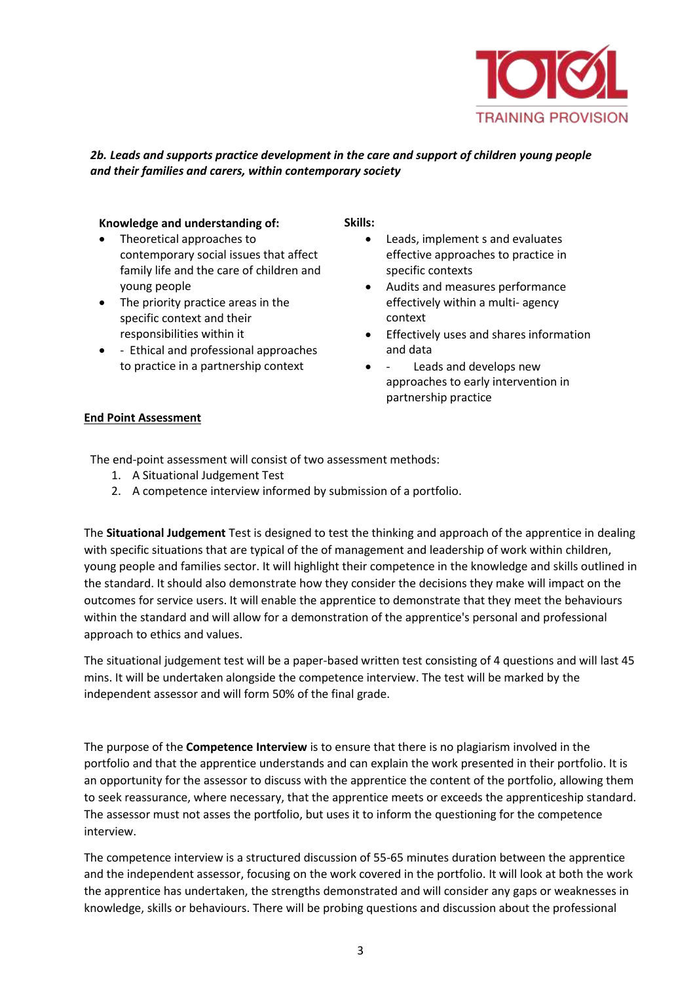

## *2b. Leads and supports practice development in the care and support of children young people and their families and carers, within contemporary society*

#### **Knowledge and understanding of:**

- Theoretical approaches to contemporary social issues that affect family life and the care of children and young people
- The priority practice areas in the specific context and their responsibilities within it
- - Ethical and professional approaches to practice in a partnership context

#### **Skills:**

- Leads, implement s and evaluates effective approaches to practice in specific contexts
- Audits and measures performance effectively within a multi- agency context
- Effectively uses and shares information and data
- Leads and develops new approaches to early intervention in partnership practice

### **End Point Assessment**

The end-point assessment will consist of two assessment methods:

- 1. A Situational Judgement Test
- 2. A competence interview informed by submission of a portfolio.

The **Situational Judgement** Test is designed to test the thinking and approach of the apprentice in dealing with specific situations that are typical of the of management and leadership of work within children, young people and families sector. It will highlight their competence in the knowledge and skills outlined in the standard. It should also demonstrate how they consider the decisions they make will impact on the outcomes for service users. It will enable the apprentice to demonstrate that they meet the behaviours within the standard and will allow for a demonstration of the apprentice's personal and professional approach to ethics and values.

The situational judgement test will be a paper-based written test consisting of 4 questions and will last 45 mins. It will be undertaken alongside the competence interview. The test will be marked by the independent assessor and will form 50% of the final grade.

The purpose of the **Competence Interview** is to ensure that there is no plagiarism involved in the portfolio and that the apprentice understands and can explain the work presented in their portfolio. It is an opportunity for the assessor to discuss with the apprentice the content of the portfolio, allowing them to seek reassurance, where necessary, that the apprentice meets or exceeds the apprenticeship standard. The assessor must not asses the portfolio, but uses it to inform the questioning for the competence interview.

The competence interview is a structured discussion of 55-65 minutes duration between the apprentice and the independent assessor, focusing on the work covered in the portfolio. It will look at both the work the apprentice has undertaken, the strengths demonstrated and will consider any gaps or weaknesses in knowledge, skills or behaviours. There will be probing questions and discussion about the professional